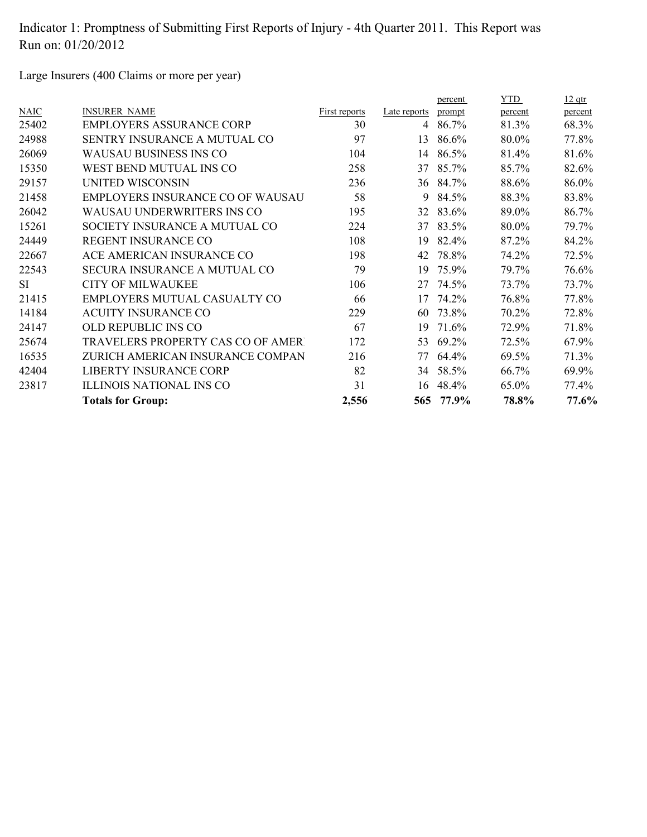Large Insurers (400 Claims or more per year)

|             |                                          |               |                | percent  | YTD     | $12$ qtr |
|-------------|------------------------------------------|---------------|----------------|----------|---------|----------|
| <b>NAIC</b> | <b>INSURER NAME</b>                      | First reports | Late reports   | prompt   | percent | percent  |
| 25402       | <b>EMPLOYERS ASSURANCE CORP</b>          | 30            | $\overline{4}$ | 86.7%    | 81.3%   | 68.3%    |
| 24988       | SENTRY INSURANCE A MUTUAL CO             | 97            | 13             | 86.6%    | 80.0%   | 77.8%    |
| 26069       | WAUSAU BUSINESS INS CO                   | 104           | 14             | 86.5%    | 81.4%   | 81.6%    |
| 15350       | WEST BEND MUTUAL INS CO                  | 258           | 37             | 85.7%    | 85.7%   | 82.6%    |
| 29157       | <b>UNITED WISCONSIN</b>                  | 236           | 36             | 84.7%    | 88.6%   | 86.0%    |
| 21458       | EMPLOYERS INSURANCE CO OF WAUSAU         | 58            | 9              | 84.5%    | 88.3%   | 83.8%    |
| 26042       | <b>WAUSAU UNDERWRITERS INS CO</b>        | 195           | 32             | 83.6%    | 89.0%   | 86.7%    |
| 15261       | SOCIETY INSURANCE A MUTUAL CO            | 224           | 37             | 83.5%    | 80.0%   | 79.7%    |
| 24449       | REGENT INSURANCE CO                      | 108           | 19             | 82.4%    | 87.2%   | 84.2%    |
| 22667       | ACE AMERICAN INSURANCE CO                | 198           | 42             | 78.8%    | 74.2%   | 72.5%    |
| 22543       | SECURA INSURANCE A MUTUAL CO             | 79            | 19             | 75.9%    | 79.7%   | 76.6%    |
| <b>SI</b>   | <b>CITY OF MILWAUKEE</b>                 | 106           | 27             | 74.5%    | 73.7%   | 73.7%    |
| 21415       | EMPLOYERS MUTUAL CASUALTY CO             | 66            | 17             | 74.2%    | 76.8%   | 77.8%    |
| 14184       | <b>ACUITY INSURANCE CO</b>               | 229           | 60             | 73.8%    | 70.2%   | 72.8%    |
| 24147       | OLD REPUBLIC INS CO                      | 67            | 19             | 71.6%    | 72.9%   | 71.8%    |
| 25674       | <b>TRAVELERS PROPERTY CAS CO OF AMER</b> | 172           | 53             | 69.2%    | 72.5%   | 67.9%    |
| 16535       | ZURICH AMERICAN INSURANCE COMPAN         | 216           | 77             | 64.4%    | 69.5%   | 71.3%    |
| 42404       | <b>LIBERTY INSURANCE CORP</b>            | 82            |                | 34 58.5% | 66.7%   | 69.9%    |
| 23817       | <b>ILLINOIS NATIONAL INS CO</b>          | 31            | 16             | 48.4%    | 65.0%   | 77.4%    |
|             | <b>Totals for Group:</b>                 | 2,556         | 565            | 77.9%    | 78.8%   | 77.6%    |
|             |                                          |               |                |          |         |          |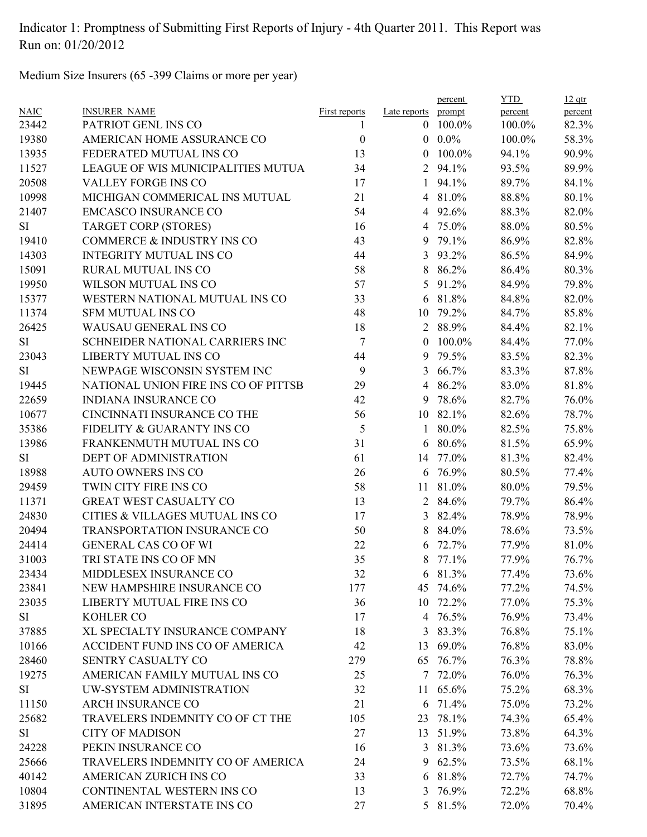Medium Size Insurers (65 -399 Claims or more per year)

| <b>NAIC</b> | <b>INSURER NAME</b>                  | <b>First reports</b> | Late reports   | percent<br>prompt | <b>YTD</b><br>percent | $12$ qtr<br>percent |
|-------------|--------------------------------------|----------------------|----------------|-------------------|-----------------------|---------------------|
| 23442       | PATRIOT GENL INS CO                  | 1                    | $\mathbf{0}$   | 100.0%            | 100.0%                | 82.3%               |
| 19380       | AMERICAN HOME ASSURANCE CO           | $\boldsymbol{0}$     | $\overline{0}$ | $0.0\%$           | 100.0%                | 58.3%               |
| 13935       | FEDERATED MUTUAL INS CO              | 13                   | $\overline{0}$ | 100.0%            | 94.1%                 | 90.9%               |
| 11527       | LEAGUE OF WIS MUNICIPALITIES MUTUA   | 34                   | 2              | 94.1%             | 93.5%                 | 89.9%               |
| 20508       | VALLEY FORGE INS CO                  | 17                   | 1              | 94.1%             | 89.7%                 | 84.1%               |
| 10998       | MICHIGAN COMMERICAL INS MUTUAL       | 21                   | $\overline{4}$ | 81.0%             | 88.8%                 | 80.1%               |
| 21407       | <b>EMCASCO INSURANCE CO</b>          | 54                   |                | 4 92.6%           | 88.3%                 | 82.0%               |
| SI          | <b>TARGET CORP (STORES)</b>          | 16                   | 4              | 75.0%             | 88.0%                 | 80.5%               |
| 19410       | COMMERCE & INDUSTRY INS CO           | 43                   | 9              | 79.1%             | 86.9%                 | 82.8%               |
| 14303       | <b>INTEGRITY MUTUAL INS CO</b>       | 44                   | 3              | 93.2%             | 86.5%                 | 84.9%               |
| 15091       | RURAL MUTUAL INS CO                  | 58                   | 8              | 86.2%             | 86.4%                 | 80.3%               |
| 19950       | WILSON MUTUAL INS CO                 | 57                   | 5              | 91.2%             | 84.9%                 | 79.8%               |
| 15377       | WESTERN NATIONAL MUTUAL INS CO       | 33                   | 6              | 81.8%             | 84.8%                 | 82.0%               |
| 11374       | <b>SFM MUTUAL INS CO</b>             | 48                   | 10             | 79.2%             | 84.7%                 | 85.8%               |
| 26425       | WAUSAU GENERAL INS CO                | 18                   | 2              | 88.9%             | 84.4%                 | 82.1%               |
| SI          | SCHNEIDER NATIONAL CARRIERS INC      | $\tau$               | $\overline{0}$ | 100.0%            | 84.4%                 | 77.0%               |
| 23043       | LIBERTY MUTUAL INS CO                | 44                   | 9              | 79.5%             | 83.5%                 | 82.3%               |
| SI          | NEWPAGE WISCONSIN SYSTEM INC         | 9                    | 3              | 66.7%             | 83.3%                 | 87.8%               |
| 19445       | NATIONAL UNION FIRE INS CO OF PITTSB | 29                   | $\overline{4}$ | 86.2%             | 83.0%                 | 81.8%               |
| 22659       | <b>INDIANA INSURANCE CO</b>          | 42                   | 9              | 78.6%             | 82.7%                 | 76.0%               |
| 10677       | CINCINNATI INSURANCE CO THE          | 56                   | 10             | 82.1%             | 82.6%                 | 78.7%               |
| 35386       | FIDELITY & GUARANTY INS CO           | 5                    | 1              | 80.0%             | 82.5%                 | 75.8%               |
| 13986       | FRANKENMUTH MUTUAL INS CO            | 31                   | 6              | 80.6%             | 81.5%                 | 65.9%               |
| SI          | DEPT OF ADMINISTRATION               | 61                   | 14             | 77.0%             | 81.3%                 | 82.4%               |
| 18988       | <b>AUTO OWNERS INS CO</b>            | 26                   | 6              | 76.9%             | 80.5%                 | 77.4%               |
| 29459       | TWIN CITY FIRE INS CO                | 58                   | 11             | 81.0%             | 80.0%                 | 79.5%               |
| 11371       | GREAT WEST CASUALTY CO               | 13                   | $\overline{2}$ | 84.6%             | 79.7%                 | 86.4%               |
| 24830       | CITIES & VILLAGES MUTUAL INS CO      | 17                   | 3              | 82.4%             | 78.9%                 | 78.9%               |
| 20494       | TRANSPORTATION INSURANCE CO          | 50                   | 8              | 84.0%             | 78.6%                 | 73.5%               |
| 24414       | <b>GENERAL CAS CO OF WI</b>          | 22                   | 6              | 72.7%             | 77.9%                 | 81.0%               |
| 31003       | TRI STATE INS CO OF MN               | 35                   | 8              | 77.1%             | 77.9%                 | 76.7%               |
| 23434       | MIDDLESEX INSURANCE CO               | 32                   |                | 6 81.3%           | 77.4%                 | 73.6%               |
| 23841       | NEW HAMPSHIRE INSURANCE CO           | 177                  |                | 45 74.6%          | 77.2%                 | 74.5%               |
| 23035       | LIBERTY MUTUAL FIRE INS CO           | 36                   |                | 10 72.2%          | 77.0%                 | 75.3%               |
| SI          | KOHLER CO                            | 17                   |                | 4 76.5%           | 76.9%                 | 73.4%               |
| 37885       | XL SPECIALTY INSURANCE COMPANY       | 18                   | 3              | 83.3%             | 76.8%                 | 75.1%               |
| 10166       | ACCIDENT FUND INS CO OF AMERICA      | 42                   | 13             | 69.0%             | 76.8%                 | 83.0%               |
| 28460       | SENTRY CASUALTY CO                   | 279                  | 65             | 76.7%             | 76.3%                 | 78.8%               |
| 19275       | AMERICAN FAMILY MUTUAL INS CO        | 25                   |                | 7 72.0%           | 76.0%                 | 76.3%               |
| SI          | UW-SYSTEM ADMINISTRATION             | 32                   |                | 11 65.6%          | 75.2%                 | 68.3%               |
| 11150       | ARCH INSURANCE CO                    | 21                   |                | 6 71.4%           | 75.0%                 | 73.2%               |
| 25682       | TRAVELERS INDEMNITY CO OF CT THE     | 105                  | 23             | 78.1%             | 74.3%                 | 65.4%               |
| SI          | <b>CITY OF MADISON</b>               | 27                   | 13             | 51.9%             | 73.8%                 | 64.3%               |
| 24228       | PEKIN INSURANCE CO                   | 16                   |                | 3 81.3%           | 73.6%                 | 73.6%               |
| 25666       | TRAVELERS INDEMNITY CO OF AMERICA    | 24                   |                | 9 62.5%           | 73.5%                 | 68.1%               |
| 40142       | AMERICAN ZURICH INS CO               | 33                   |                | 6 81.8%           | 72.7%                 | 74.7%               |
| 10804       | CONTINENTAL WESTERN INS CO           | 13                   |                | 3 76.9%           | 72.2%                 | 68.8%               |
| 31895       | AMERICAN INTERSTATE INS CO           | 27                   |                | 5 81.5%           | 72.0%                 | 70.4%               |
|             |                                      |                      |                |                   |                       |                     |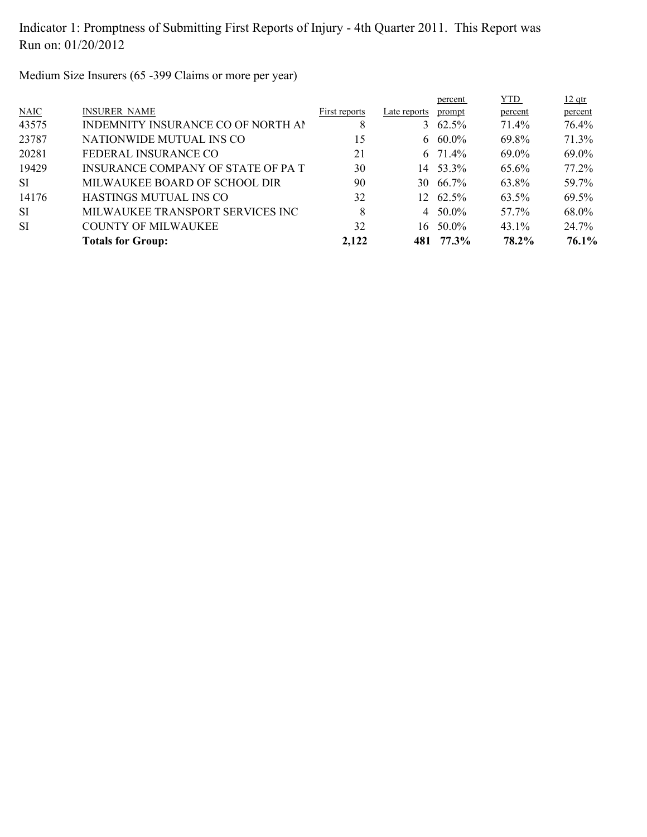Medium Size Insurers (65 -399 Claims or more per year)

|                                    |               |              | percent | <b>YTD</b>                                                                                                 | $12$ qtr |
|------------------------------------|---------------|--------------|---------|------------------------------------------------------------------------------------------------------------|----------|
| <b>INSURER NAME</b>                | First reports | Late reports | prompt  | percent                                                                                                    | percent  |
| INDEMNITY INSURANCE CO OF NORTH AP | 8             |              |         | 71.4%                                                                                                      | 76.4%    |
| NATIONWIDE MUTUAL INS CO           | 15            |              |         | 69.8%                                                                                                      | 71.3%    |
| FEDERAL INSURANCE CO               | 21            |              |         | 69.0%                                                                                                      | 69.0%    |
| INSURANCE COMPANY OF STATE OF PAT  | 30            |              |         | 65.6%                                                                                                      | $77.2\%$ |
| MILWAUKEE BOARD OF SCHOOL DIR      | 90            | 30           |         | 63.8%                                                                                                      | 59.7%    |
| HASTINGS MUTUAL INS CO             | 32            |              |         | 63.5%                                                                                                      | 69.5%    |
| MILWAUKEE TRANSPORT SERVICES INC   | 8             |              |         | 57.7%                                                                                                      | 68.0%    |
| <b>COUNTY OF MILWAUKEE</b>         | 32            | 16           | 50.0%   | $43.1\%$                                                                                                   | 24.7%    |
| <b>Totals for Group:</b>           | 2,122         |              |         | 78.2%                                                                                                      | 76.1%    |
|                                    |               |              |         | 3 $62.5\%$<br>6 60.0%<br>6 71.4%<br>14 53.3%<br>66.7%<br>$12 \quad 62.5\%$<br>$4\quad 50.0\%$<br>481 77.3% |          |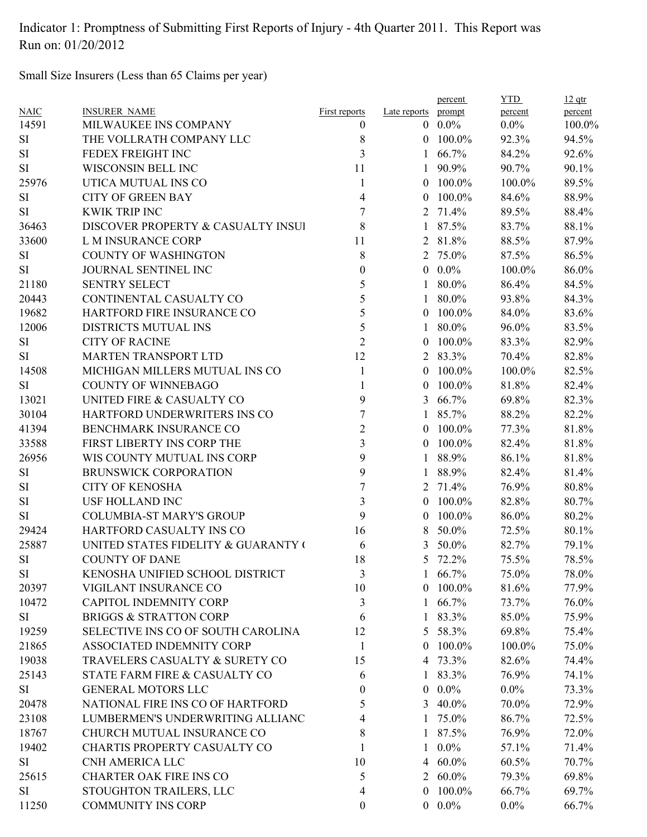Small Size Insurers (Less than 65 Claims per year)

| <b>NAIC</b> | <b>INSURER NAME</b>                 | First reports           | Late reports   | percent<br>prompt | <b>YTD</b><br>percent | $12$ qtr<br>percent |
|-------------|-------------------------------------|-------------------------|----------------|-------------------|-----------------------|---------------------|
| 14591       | MILWAUKEE INS COMPANY               | $\boldsymbol{0}$        |                | $0.0\%$           | $0.0\%$               | 100.0%              |
| SI          | THE VOLLRATH COMPANY LLC            | 8                       | $\theta$       | 100.0%            | 92.3%                 | 94.5%               |
| SI          | FEDEX FREIGHT INC                   | 3                       | 1              | 66.7%             | 84.2%                 | 92.6%               |
| SI          | WISCONSIN BELL INC                  | 11                      | 1              | 90.9%             | 90.7%                 | 90.1%               |
| 25976       | UTICA MUTUAL INS CO                 | $\mathbf{1}$            | $\theta$       | 100.0%            | 100.0%                | 89.5%               |
| SI          | <b>CITY OF GREEN BAY</b>            | 4                       | $\overline{0}$ | 100.0%            | 84.6%                 | 88.9%               |
| SI          | <b>KWIK TRIP INC</b>                | $\boldsymbol{7}$        |                | 2 71.4%           | 89.5%                 | 88.4%               |
| 36463       | DISCOVER PROPERTY & CASUALTY INSUI  | 8                       | $\mathbf{1}$   | 87.5%             | 83.7%                 | 88.1%               |
| 33600       | L M INSURANCE CORP                  | 11                      |                | 2 81.8%           | 88.5%                 | 87.9%               |
| SI          | <b>COUNTY OF WASHINGTON</b>         | 8                       |                | 2 75.0%           | 87.5%                 | 86.5%               |
| SI          | JOURNAL SENTINEL INC                | $\boldsymbol{0}$        | $\overline{0}$ | $0.0\%$           | 100.0%                | 86.0%               |
| 21180       | <b>SENTRY SELECT</b>                | 5                       | 1              | 80.0%             | 86.4%                 | 84.5%               |
| 20443       | CONTINENTAL CASUALTY CO             | 5                       | $\mathbf{1}$   | 80.0%             | 93.8%                 | 84.3%               |
| 19682       | HARTFORD FIRE INSURANCE CO          | 5                       | $\theta$       | 100.0%            | 84.0%                 | 83.6%               |
| 12006       | <b>DISTRICTS MUTUAL INS</b>         | 5                       | 1              | 80.0%             | 96.0%                 | 83.5%               |
| SI          | <b>CITY OF RACINE</b>               | $\overline{2}$          | $\overline{0}$ | 100.0%            | 83.3%                 | 82.9%               |
| SI          | MARTEN TRANSPORT LTD                | 12                      |                | 2 83.3%           | 70.4%                 | 82.8%               |
| 14508       | MICHIGAN MILLERS MUTUAL INS CO      | $\mathbf{1}$            | $\theta$       | 100.0%            | 100.0%                | 82.5%               |
| SI          | <b>COUNTY OF WINNEBAGO</b>          | $\mathbf{1}$            | $\bf{0}$       | 100.0%            | 81.8%                 | 82.4%               |
| 13021       | UNITED FIRE & CASUALTY CO           | 9                       | 3              | 66.7%             | 69.8%                 | 82.3%               |
| 30104       | HARTFORD UNDERWRITERS INS CO        | $\overline{7}$          | $\mathbf{1}$   | 85.7%             | 88.2%                 | 82.2%               |
| 41394       | BENCHMARK INSURANCE CO              | $\overline{2}$          |                | $0$ 100.0%        | 77.3%                 | 81.8%               |
| 33588       | FIRST LIBERTY INS CORP THE          | $\overline{\mathbf{3}}$ | $\overline{0}$ | 100.0%            | 82.4%                 | 81.8%               |
| 26956       | WIS COUNTY MUTUAL INS CORP          | 9                       | $\mathbf{1}$   | 88.9%             | 86.1%                 | 81.8%               |
| SI          | <b>BRUNSWICK CORPORATION</b>        | 9                       |                | 88.9%             | 82.4%                 | 81.4%               |
| SI          | <b>CITY OF KENOSHA</b>              | $\overline{7}$          |                | 2 71.4%           | 76.9%                 | 80.8%               |
| SI          | <b>USF HOLLAND INC</b>              | $\overline{\mathbf{3}}$ | $\overline{0}$ | 100.0%            | 82.8%                 | 80.7%               |
| SI          | <b>COLUMBIA-ST MARY'S GROUP</b>     | 9                       | $\overline{0}$ | 100.0%            | 86.0%                 | 80.2%               |
| 29424       | HARTFORD CASUALTY INS CO            | 16                      | 8              | 50.0%             | 72.5%                 | 80.1%               |
| 25887       | UNITED STATES FIDELITY & GUARANTY ( | 6                       | 3              | 50.0%             | 82.7%                 | 79.1%               |
| SI          | <b>COUNTY OF DANE</b>               | 18                      | 5              | 72.2%             | 75.5%                 | 78.5%               |
| SI          | KENOSHA UNIFIED SCHOOL DISTRICT     | 3                       |                | 1 $66.7\%$        | 75.0%                 | 78.0%               |
| 20397       | VIGILANT INSURANCE CO               | 10                      | $\theta$       | 100.0%            | 81.6%                 | 77.9%               |
| 10472       | <b>CAPITOL INDEMNITY CORP</b>       | $\mathfrak{Z}$          | 1              | 66.7%             | 73.7%                 | 76.0%               |
| SI          | <b>BRIGGS &amp; STRATTON CORP</b>   | 6                       | $\mathbf{1}$   | 83.3%             | 85.0%                 | 75.9%               |
| 19259       | SELECTIVE INS CO OF SOUTH CAROLINA  | 12                      | 5              | 58.3%             | 69.8%                 | 75.4%               |
| 21865       | ASSOCIATED INDEMNITY CORP           | $\mathbf{1}$            | $\theta$       | 100.0%            | 100.0%                | 75.0%               |
| 19038       | TRAVELERS CASUALTY & SURETY CO      | 15                      |                | 4 73.3%           | 82.6%                 | 74.4%               |
| 25143       | STATE FARM FIRE & CASUALTY CO       | 6                       |                | 83.3%             | 76.9%                 | 74.1%               |
| SI          | <b>GENERAL MOTORS LLC</b>           | 0                       | $\overline{0}$ | $0.0\%$           | $0.0\%$               | 73.3%               |
| 20478       | NATIONAL FIRE INS CO OF HARTFORD    | 5                       | 3              | 40.0%             | 70.0%                 | 72.9%               |
| 23108       | LUMBERMEN'S UNDERWRITING ALLIANC    | 4                       |                | 75.0%             | 86.7%                 | 72.5%               |
| 18767       | CHURCH MUTUAL INSURANCE CO          | 8                       |                | 87.5%             | 76.9%                 | 72.0%               |
| 19402       | CHARTIS PROPERTY CASUALTY CO        | 1                       | 1              | $0.0\%$           | 57.1%                 | 71.4%               |
| SI          | CNH AMERICA LLC                     | 10                      | 4              | $60.0\%$          | 60.5%                 | 70.7%               |
| 25615       | <b>CHARTER OAK FIRE INS CO</b>      | 5                       |                | 2 60.0%           | 79.3%                 | 69.8%               |
| SI          | STOUGHTON TRAILERS, LLC             | 4                       |                | $0$ 100.0%        | 66.7%                 | 69.7%               |
|             |                                     |                         |                |                   |                       |                     |
| 11250       | <b>COMMUNITY INS CORP</b>           | $\boldsymbol{0}$        |                | $0.0\%$           | $0.0\%$               | 66.7%               |